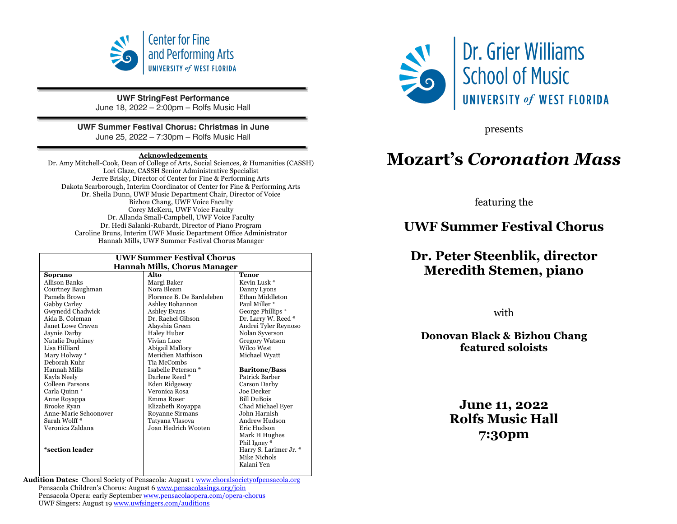

**UWF StringFest Performance** June 18, 2022 – 2:00pm – Rolfs Music Hall

#### **UWF Summer Festival Chorus: Christmas in June**

June 25, 2022 – 7:30pm – Rolfs Music Hall

#### **Acknowledgements**

Dr. Amy Mitchell-Cook, Dean of College of Arts, Social Sciences, & Humanities (CASSH) Lori Glaze, CASSH Senior Administrative Specialist Jerre Brisky, Director of Center for Fine & Performing Arts Dakota Scarborough, Interim Coordinator of Center for Fine & Performing Arts Dr. Sheila Dunn, UWF Music Department Chair, Director of Voice Bizhou Chang, UWF Voice Faculty Corey McKern, UWF Voice Faculty Dr. Allanda Small-Campbell, UWF Voice Faculty Dr. Hedi Salanki-Rubardt, Director of Piano Program Caroline Bruns, Interim UWF Music Department Office Administrator Hannah Mills, UWF Summer Festival Chorus Manager

| <b>UWF Summer Festival Chorus</b>   |                           |                         |  |
|-------------------------------------|---------------------------|-------------------------|--|
| <b>Hannah Mills, Chorus Manager</b> |                           |                         |  |
| Soprano                             | Alto                      | <b>Tenor</b>            |  |
| <b>Allison Banks</b>                | Margi Baker               | Kevin Lusk <sup>*</sup> |  |
| Courtney Baughman                   | Nora Bleam                | Danny Lyons             |  |
| Pamela Brown                        | Florence B. De Bardeleben | Ethan Middleton         |  |
| Gabby Carley                        | Ashley Bohannon           | Paul Miller *           |  |
| Gwynedd Chadwick                    | <b>Ashley Evans</b>       | George Phillips *       |  |
| Aida B. Coleman                     | Dr. Rachel Gibson         | Dr. Larry W. Reed *     |  |
| Janet Lowe Craven                   | Alayshia Green            | Andrei Tyler Reynoso    |  |
| Jaynie Darby                        | <b>Haley Huber</b>        | Nolan Syverson          |  |
| Natalie Duphiney                    | Vivian Luce               | <b>Gregory Watson</b>   |  |
| Lisa Hilliard                       | Abigail Mallory           | Wilco West              |  |
| Mary Holway *                       | Meridien Mathison         | Michael Wyatt           |  |
| Deborah Kuhr                        | <b>Tia McCombs</b>        |                         |  |
| Hannah Mills                        | Isabelle Peterson *       | <b>Baritone/Bass</b>    |  |
| Kayla Neely                         | Darlene Reed *            | Patrick Barber          |  |
| Colleen Parsons                     | Eden Ridgeway             | Carson Darby            |  |
| Carla Quinn *                       | Veronica Rosa             | Joe Decker              |  |
| Anne Royappa                        | Emma Roser                | <b>Bill DuBois</b>      |  |
| <b>Brooke Ryan</b>                  | Elizabeth Royappa         | Chad Michael Ever       |  |
| Anne-Marie Schoonover               | Royanne Sirmans           | John Harnish            |  |
| Sarah Wolff*                        | Tatyana Vlasova           | Andrew Hudson           |  |
| Veronica Zaldana                    | Joan Hedrich Wooten       | Eric Hudson             |  |
|                                     |                           | Mark H Hughes           |  |
|                                     |                           | Phil Igney*             |  |
| *section leader                     |                           | Harry S. Larimer Jr. *  |  |
|                                     |                           | Mike Nichols            |  |
|                                     |                           | Kalani Yen              |  |
|                                     |                           |                         |  |

**Audition Dates:** Choral Society of Pensacola: August 1 www.choralsocietyofpensacola.org Pensacola Children's Chorus: August 6 www.pensacolasings.org/join Pensacola Opera: early September www.pensacolaopera.com/opera-chorus UWF Singers: August 19 www.uwfsingers.com/auditions



presents

# **Mozart's** *Coronation Mass*

featuring the

# **UWF Summer Festival Chorus**

# **Dr. Peter Steenblik, director Meredith Stemen, piano**

with

### **Donovan Black & Bizhou Chang featured soloists**

**June 11, 2022 Rolfs Music Hall 7:30pm**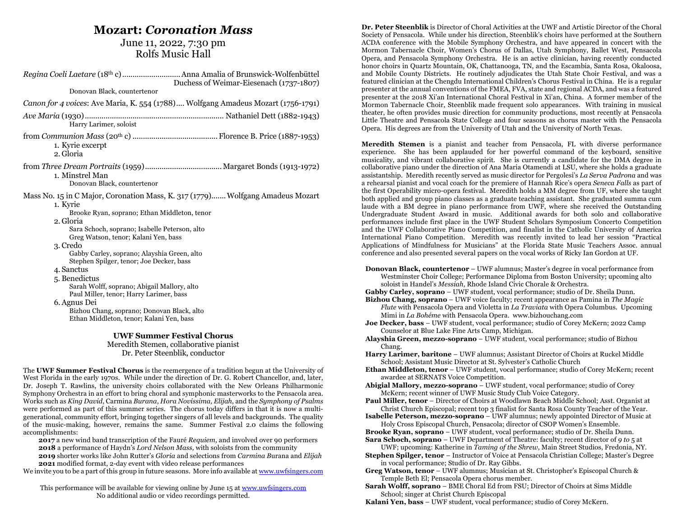### **Mozart:** *Coronation Mass*

### June 11, 2022, 7:30 pm Rolfs Music Hall

| Duchess of Weimar-Eiesenach (1737-1807)                                                                                                                                                                                                                                                                                                                                                                                                                                                                                                                                                    |  |  |
|--------------------------------------------------------------------------------------------------------------------------------------------------------------------------------------------------------------------------------------------------------------------------------------------------------------------------------------------------------------------------------------------------------------------------------------------------------------------------------------------------------------------------------------------------------------------------------------------|--|--|
| Donovan Black, countertenor                                                                                                                                                                                                                                                                                                                                                                                                                                                                                                                                                                |  |  |
| Canon for 4 voices: Ave Maria, K. 554 (1788) Wolfgang Amadeus Mozart (1756-1791)                                                                                                                                                                                                                                                                                                                                                                                                                                                                                                           |  |  |
| Harry Larimer, soloist                                                                                                                                                                                                                                                                                                                                                                                                                                                                                                                                                                     |  |  |
| 1. Kyrie excerpt<br>2. Gloria                                                                                                                                                                                                                                                                                                                                                                                                                                                                                                                                                              |  |  |
| 1. Minstrel Man<br>Donovan Black, countertenor                                                                                                                                                                                                                                                                                                                                                                                                                                                                                                                                             |  |  |
| Mass No. 15 in C Major, Coronation Mass, K. 317 (1779) Wolfgang Amadeus Mozart<br>1. Kyrie<br>Brooke Ryan, soprano; Ethan Middleton, tenor<br>2. Gloria<br>Sara Schoch, soprano; Isabelle Peterson, alto<br>Greg Watson, tenor; Kalani Yen, bass<br>3. Credo<br>Gabby Carley, soprano; Alayshia Green, alto<br>Stephen Spilger, tenor; Joe Decker, bass<br>4. Sanctus<br>5. Benedictus<br>Sarah Wolff, soprano; Abigail Mallory, alto<br>Paul Miller, tenor; Harry Larimer, bass<br>6. Agnus Dei<br>Bizhou Chang, soprano; Donovan Black, alto<br>Ethan Middleton, tenor; Kalani Yen, bass |  |  |
| <b>UWF Summer Festival Chorus</b>                                                                                                                                                                                                                                                                                                                                                                                                                                                                                                                                                          |  |  |
| Meredith Stemen, collaborative pianist<br>Dr. Peter Steenblik, conductor                                                                                                                                                                                                                                                                                                                                                                                                                                                                                                                   |  |  |

The **UWF Summer Festival Chorus** is the reemergence of a tradition begun at the University of West Florida in the early 1970s. While under the direction of Dr. G. Robert Chancellor, and, later, Dr. Joseph T. Rawlins, the university choirs collaborated with the New Orleans Philharmonic Symphony Orchestra in an effort to bring choral and symphonic masterworks to the Pensacola area. Works such as *King David*, Carmina *Burana*, *Hora Novissima, Elijah*, and the *Symphony of Psalms* were performed as part of this summer series. The chorus today differs in that it is now a multigenerational, community effort, bringing together singers of all levels and backgrounds. The quality of the music-making, however, remains the same. Summer Festival 2.0 claims the following accomplishments:

 a new wind band transcription of the Fauré *Requiem*, and involved over 90 performers a performance of Haydn's *Lord Nelson Mass,* with soloists from the community shorter works like John Rutter's *Gloria* and selections from *Carmina B*urana and *Elijah* modified format, 2-day event with video release performances

We invite you to be a part of this group in future seasons. More info available at www.uwfsingers.com

This performance will be available for viewing online by June 15 at www.uwfsingers.com No additional audio or video recordings permitted.

**Dr. Peter Steenblik** is Director of Choral Activities at the UWF and Artistic Director of the Choral Society of Pensacola. While under his direction, Steenblik's choirs have performed at the Southern ACDA conference with the Mobile Symphony Orchestra, and have appeared in concert with the Mormon Tabernacle Choir, Women's Chorus of Dallas, Utah Symphony, Ballet West, Pensacola Opera, and Pensacola Symphony Orchestra. He is an active clinician, having recently conducted honor choirs in Quartz Mountain, OK, Chattanooga, TN, and the Escambia, Santa Rosa, Okaloosa, and Mobile County Districts. He routinely adjudicates the Utah State Choir Festival, and was a featured clinician at the Chengdu International Children's Chorus Festival in China. He is a regular presenter at the annual conventions of the FMEA, FVA, state and regional ACDA, and was a featured presenter at the 2018 Xi'an International Choral Festival in Xi'an, China. A former member of the Mormon Tabernacle Choir, Steenblik made frequent solo appearances. With training in musical theater, he often provides music direction for community productions, most recently at Pensacola Little Theatre and Pensacola State College and four seasons as chorus master with the Pensacola Opera. His degrees are from the University of Utah and the University of North Texas.

**Meredith Stemen** is a pianist and teacher from Pensacola, FL with diverse performance experience. She has been applauded for her powerful command of the keyboard, sensitive musicality, and vibrant collaborative spirit. She is currently a candidate for the DMA degree in collaborative piano under the direction of Ana Maria Otamendi at LSU, where she holds a graduate assistantship. Meredith recently served as music director for Pergolesi's *La Serva Padrona* and was a rehearsal pianist and vocal coach for the premiere of Hannah Rice's opera *Seneca Falls* as part of the first Operability micro-opera festival. Meredith holds a MM degree from UF, where she taught both applied and group piano classes as a graduate teaching assistant. She graduated summa cum laude with a BM degree in piano performance from UWF, where she received the Outstanding Undergraduate Student Award in music. Additional awards for both solo and collaborative performances include first place in the UWF Student Scholars Symposium Concerto Competition and the UWF Collaborative Piano Competition, and finalist in the Catholic University of America International Piano Competition. Meredith was recently invited to lead her session "Practical Applications of Mindfulness for Musicians" at the Florida State Music Teachers Assoc. annual conference and also presented several papers on the vocal works of Ricky Ian Gordon at UF.

**Donovan Black, countertenor** – UWF alumnus; Master's degree in vocal performance from Westminster Choir College; Performance Diploma from Boston University; upcoming alto soloist in Handel's *Messiah*, Rhode Island Civic Chorale & Orchestra.

**Gabby Carley, soprano** – UWF student, vocal performance; studio of Dr. Sheila Dunn.

**Bizhou Chang, soprano** – UWF voice faculty; recent appearance as Pamina in *The Magic Flute* with Pensacola Opera and Violetta in *La Traviata* with Opera Columbus*.* Upcoming Mimi in *La Bohéme* with Pensacola Opera. www.bizhouchang.com

- **Joe Decker, bass** UWF student, vocal performance; studio of Corey McKern; 2022 Camp Counselor at Blue Lake Fine Arts Camp, Michigan.
- **Alayshia Green, mezzo-soprano** UWF student, vocal performance; studio of Bizhou Chang.
- **Harry Larimer, baritone** UWF alumnus; Assistant Director of Choirs at Ruckel Middle School; Assistant Music Director at St. Sylvester's Catholic Church
- **Ethan Middleton, tenor** UWF student, vocal performance; studio of Corey McKern; recent awardee at SERNATS Voice Competition.
- **Abigial Mallory, mezzo-soprano** UWF student, vocal performance; studio of Corey McKern; recent winner of UWF Music Study Club Voice Category.

**Paul Miller, tenor** – Director of Choirs at Woodlawn Beach Middle School; Asst. Organist at Christ Church Episcopal; recent top 3 finalist for Santa Rosa County Teacher of the Year.

**Isabelle Peterson, mezzo-soprano** – UWF alumnus; newly appointed Director of Music at Holy Cross Episcopal Church, Pensacola; director of CSOP Women's Ensemble.

**Brooke Ryan, soprano** – UWF student, vocal performance; studio of Dr. Sheila Dunn. **Sara Schoch, soprano** – UWF Department of Theatre: faculty; recent director of *9 to* 5 at

UWF; upcoming: Katherine in *Taming of the Shrew*, Main Street Studios, Fredonia, NY. **Stephen Spilger, tenor** – Instructor of Voice at Pensacola Christian College; Master's Degree

in vocal performance; Studio of Dr. Ray Gibbs. **Greg Watson, tenor** – UWF alumnus; Musician at St. Christopher's Episcopal Church & Temple Beth El; Pensacola Opera chorus member.

**Sarah Wolff, soprano** – BME Choral Ed from FSU; Director of Choirs at Sims Middle School; singer at Christ Church Episcopal

**Kalani Yen, bass** – UWF student, vocal performance; studio of Corey McKern.